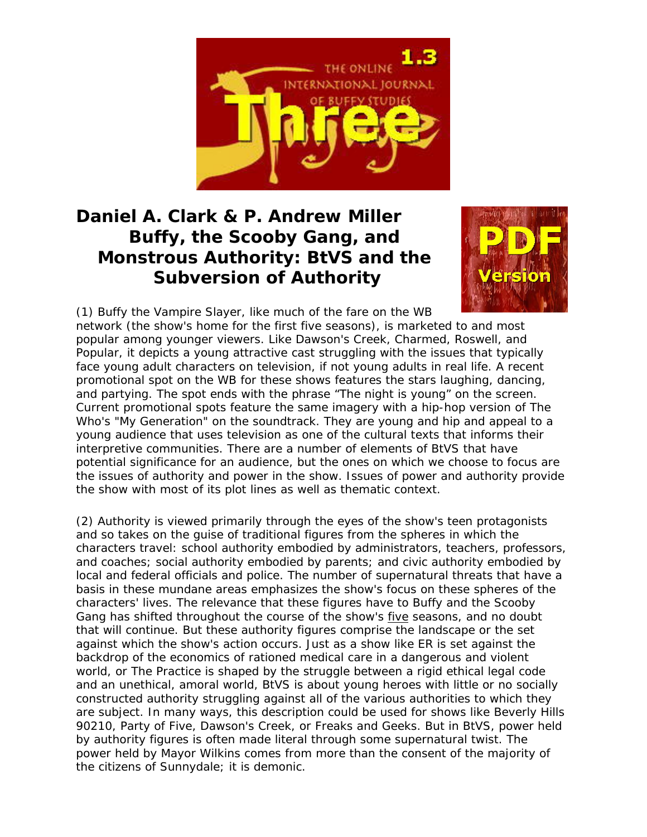

## **Daniel A. Clark & P. Andrew Miller Buffy, the Scooby Gang, and Monstrous Authority:** *BtVS* **and the Subversion of Authority**



(1) *Buffy the Vampire Slayer*, like much of the fare on the WB network (the show's home for the first five seasons), is marketed to and most popular among younger viewers. Like *Dawson's Creek*, *Charmed*, *Roswell*, and *Popular*, it depicts a young attractive cast struggling with the issues that typically face young adult characters on television, if not young adults in real life. A recent promotional spot on the WB for these shows features the stars laughing, dancing, and partying. The spot ends with the phrase "The night is young" on the screen. Current promotional spots feature the same imagery with a hip-hop version of The Who's "My Generation" on the soundtrack. They are young and hip and appeal to a young audience that uses television as one of the cultural texts that informs their interpretive communities. There are a number of elements of *BtVS* that have potential significance for an audience, but the ones on which we choose to focus are the issues of authority and power in the show. Issues of power and authority provide the show with most of its plot lines as well as thematic context.

(2) Authority is viewed primarily through the eyes of the show's teen protagonists and so takes on the guise of traditional figures from the spheres in which the characters travel: school authority embodied by administrators, teachers, professors, and coaches; social authority embodied by parents; and civic authority embodied by local and federal officials and police. The number of supernatural threats that have a basis in these mundane areas emphasizes the show's focus on these spheres of the characters' lives. The relevance that these figures have to Buffy and the Scooby Gang has shifted throughout the course of the show's five seasons, and no doubt that will continue. But these authority figures comprise the landscape or the set against which the show's action occurs. Just as a show like *ER* is set against the backdrop of the economics of rationed medical care in a dangerous and violent world, or *The Practice* is shaped by the struggle between a rigid ethical legal code and an unethical, amoral world, *BtVS* is about young heroes with little or no socially constructed authority struggling against all of the various authorities to which they are subject. In many ways, this description could be used for shows like *Beverly Hills 90210*, *Party of Five*, *Dawson's Creek*, or *Freaks and Geeks*. But in *BtVS*, power held by authority figures is often made literal through some supernatural twist. The power held by Mayor Wilkins comes from more than the consent of the majority of the citizens of Sunnydale; it is demonic.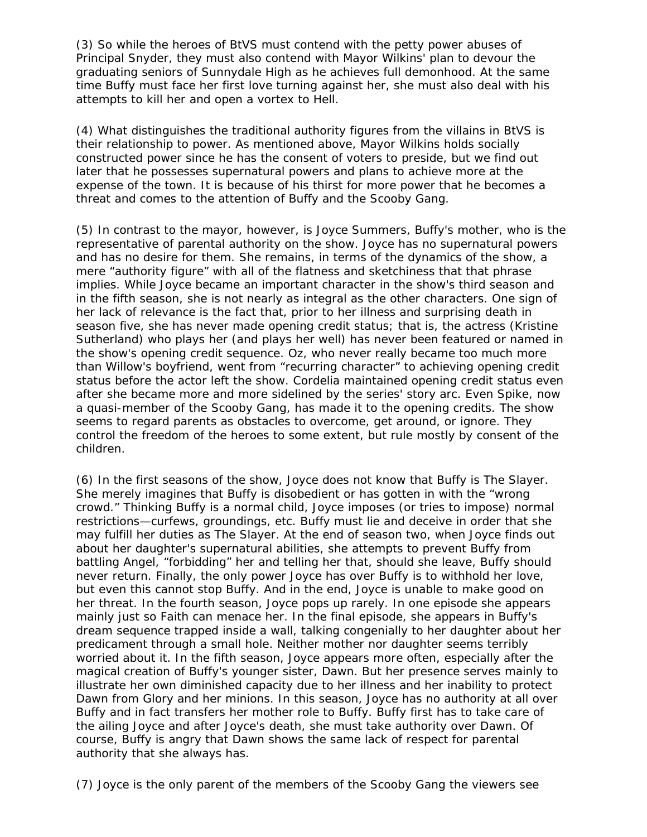(3) So while the heroes of *BtVS* must contend with the petty power abuses of Principal Snyder, they must also contend with Mayor Wilkins' plan to devour the graduating seniors of Sunnydale High as he achieves full demonhood. At the same time Buffy must face her first love turning against her, she must also deal with his attempts to kill her and open a vortex to Hell.

(4) What distinguishes the traditional authority figures from the villains in *BtVS* is their relationship to power. As mentioned above, Mayor Wilkins holds socially constructed power since he has the consent of voters to preside, but we find out later that he possesses supernatural powers and plans to achieve more at the expense of the town. It is because of his thirst for more power that he becomes a threat and comes to the attention of Buffy and the Scooby Gang.

(5) In contrast to the mayor, however, is Joyce Summers, Buffy's mother, who is the representative of parental authority on the show. Joyce has no supernatural powers and has no desire for them. She remains, in terms of the dynamics of the show, a mere "authority figure" with all of the flatness and sketchiness that that phrase implies. While Joyce became an important character in the show's third season and in the fifth season, she is not nearly as integral as the other characters. One sign of her lack of relevance is the fact that, prior to her illness and surprising death in season five, she has never made opening credit status; that is, the actress (Kristine Sutherland) who plays her (and plays her well) has never been featured or named in the show's opening credit sequence. Oz, who never really became too much more than Willow's boyfriend, went from "recurring character" to achieving opening credit status before the actor left the show. Cordelia maintained opening credit status even after she became more and more sidelined by the series' story arc. Even Spike, now a quasi-member of the Scooby Gang, has made it to the opening credits. The show seems to regard parents as obstacles to overcome, get around, or ignore. They control the freedom of the heroes to some extent, but rule mostly by consent of the children.

(6) In the first seasons of the show, Joyce does not know that Buffy is The Slayer. She merely imagines that Buffy is disobedient or has gotten in with the "wrong crowd." Thinking Buffy is a normal child, Joyce imposes (or tries to impose) normal restrictions—curfews, groundings, etc. Buffy must lie and deceive in order that she may fulfill her duties as The Slayer. At the end of season two, when Joyce finds out about her daughter's supernatural abilities, she attempts to prevent Buffy from battling Angel, "forbidding" her and telling her that, should she leave, Buffy should never return. Finally, the only power Joyce has over Buffy is to withhold her love, but even this cannot stop Buffy. And in the end, Joyce is unable to make good on her threat. In the fourth season, Joyce pops up rarely. In one episode she appears mainly just so Faith can menace her. In the final episode, she appears in Buffy's dream sequence trapped inside a wall, talking congenially to her daughter about her predicament through a small hole. Neither mother nor daughter seems terribly worried about it. In the fifth season, Joyce appears more often, especially after the magical creation of Buffy's younger sister, Dawn. But her presence serves mainly to illustrate her own diminished capacity due to her illness and her inability to protect Dawn from Glory and her minions. In this season, Joyce has no authority at all over Buffy and in fact transfers her mother role to Buffy. Buffy first has to take care of the ailing Joyce and after Joyce's death, she must take authority over Dawn. Of course, Buffy is angry that Dawn shows the same lack of respect for parental authority that she always has.

(7) Joyce is the only parent of the members of the Scooby Gang the viewers see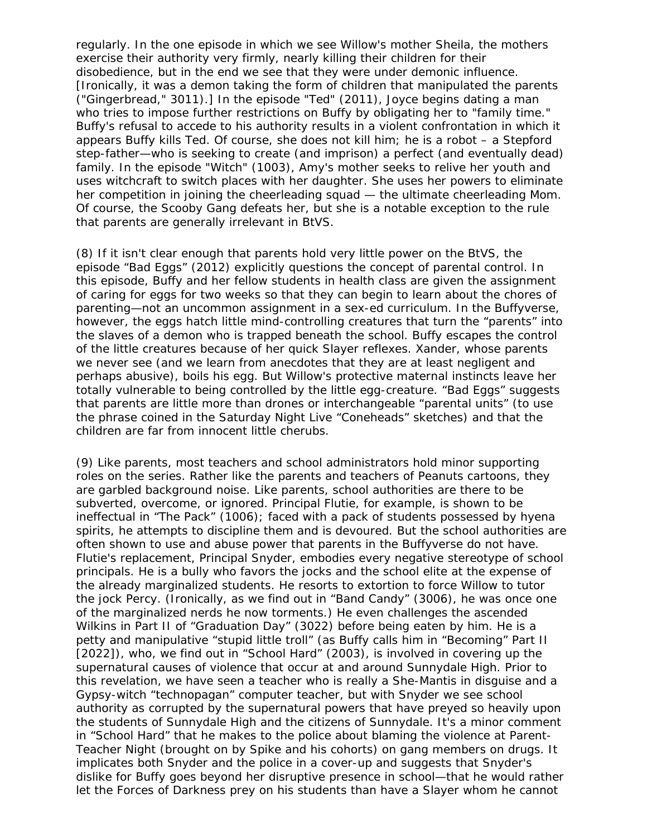regularly. In the one episode in which we see Willow's mother Sheila, the mothers exercise their authority very firmly, nearly killing their children for their disobedience, but in the end we see that they were under demonic influence. [Ironically, it was a demon taking the form of children that manipulated the parents ("Gingerbread," 3011).] In the episode "Ted" (2011), Joyce begins dating a man who tries to impose further restrictions on Buffy by obligating her to "family time." Buffy's refusal to accede to his authority results in a violent confrontation in which it appears Buffy kills Ted. Of course, she does not kill him; he is a robot – a Stepford step-father—who is seeking to create (and imprison) a perfect (and eventually dead) family. In the episode "Witch" (1003), Amy's mother seeks to relive her youth and uses witchcraft to switch places with her daughter. She uses her powers to eliminate her competition in joining the cheerleading squad — the ultimate cheerleading Mom. Of course, the Scooby Gang defeats her, but she is a notable exception to the rule that parents are generally irrelevant in BtVS.

(8) If it isn't clear enough that parents hold very little power on the *BtVS*, the episode "Bad Eggs" (2012) explicitly questions the concept of parental control. In this episode, Buffy and her fellow students in health class are given the assignment of caring for eggs for two weeks so that they can begin to learn about the chores of parenting—not an uncommon assignment in a sex-ed curriculum. In the Buffyverse, however, the eggs hatch little mind-controlling creatures that turn the "parents" into the slaves of a demon who is trapped beneath the school. Buffy escapes the control of the little creatures because of her quick Slayer reflexes. Xander, whose parents we never see (and we learn from anecdotes that they are at least negligent and perhaps abusive), boils his egg. But Willow's protective maternal instincts leave her totally vulnerable to being controlled by the little egg-creature. "Bad Eggs" suggests that parents are little more than drones or interchangeable "parental units" (to use the phrase coined in the *Saturday Night Live* "Coneheads" sketches) and that the children are far from innocent little cherubs.

(9) Like parents, most teachers and school administrators hold minor supporting roles on the series. Rather like the parents and teachers of Peanuts cartoons, they are garbled background noise. Like parents, school authorities are there to be subverted, overcome, or ignored. Principal Flutie, for example, is shown to be ineffectual in "The Pack" (1006); faced with a pack of students possessed by hyena spirits, he attempts to discipline them and is devoured. But the school authorities are often shown to use and abuse power that parents in the Buffyverse do not have. Flutie's replacement, Principal Snyder, embodies every negative stereotype of school principals. He is a bully who favors the jocks and the school elite at the expense of the already marginalized students. He resorts to extortion to force Willow to tutor the jock Percy. (Ironically, as we find out in "Band Candy" (3006), he was once one of the marginalized nerds he now torments.) He even challenges the ascended Wilkins in Part II of "Graduation Day" (3022) before being eaten by him. He is a petty and manipulative "stupid little troll" (as Buffy calls him in "Becoming" Part II [2022]), who, we find out in "School Hard" (2003), is involved in covering up the supernatural causes of violence that occur at and around Sunnydale High. Prior to this revelation, we have seen a teacher who is really a She-Mantis in disguise and a Gypsy-witch "technopagan" computer teacher, but with Snyder we see school authority as corrupted by the supernatural powers that have preyed so heavily upon the students of Sunnydale High and the citizens of Sunnydale. It's a minor comment in "School Hard" that he makes to the police about blaming the violence at Parent-Teacher Night (brought on by Spike and his cohorts) on gang members on drugs. It implicates both Snyder and the police in a cover-up and suggests that Snyder's dislike for Buffy goes beyond her disruptive presence in school—that he would rather let the Forces of Darkness prey on his students than have a Slayer whom he cannot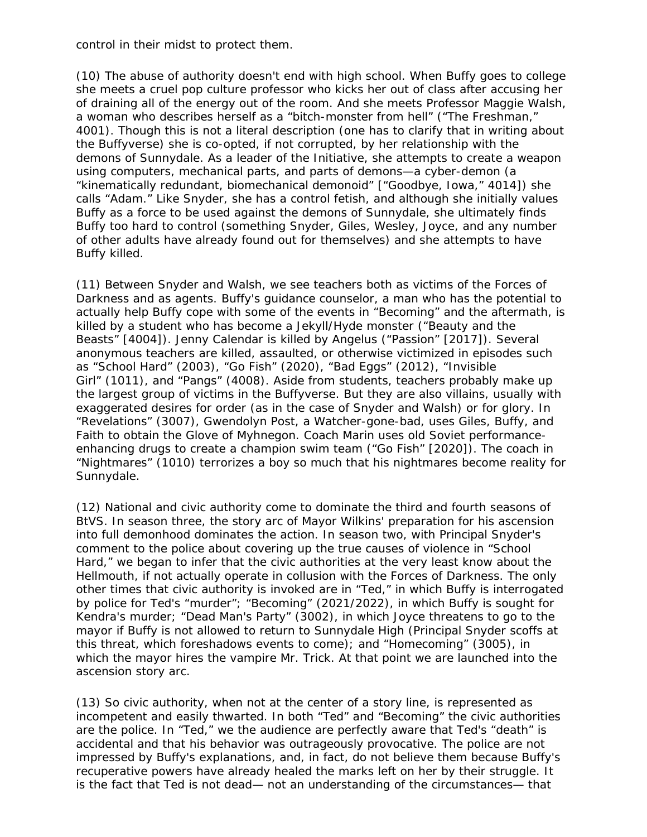control in their midst to protect them.

(10) The abuse of authority doesn't end with high school. When Buffy goes to college she meets a cruel pop culture professor who kicks her out of class after accusing her of draining all of the energy out of the room. And she meets Professor Maggie Walsh, a woman who describes herself as a "bitch-monster from hell" ("The Freshman," 4001). Though this is not a literal description (one has to clarify that in writing about the Buffyverse) she is co-opted, if not corrupted, by her relationship with the demons of Sunnydale. As a leader of the Initiative, she attempts to create a weapon using computers, mechanical parts, and parts of demons—a cyber-demon (a "kinematically redundant, biomechanical demonoid" ["Goodbye, Iowa," 4014]) she calls "Adam." Like Snyder, she has a control fetish, and although she initially values Buffy as a force to be used against the demons of Sunnydale, she ultimately finds Buffy too hard to control (something Snyder, Giles, Wesley, Joyce, and any number of other adults have already found out for themselves) and she attempts to have Buffy killed.

(11) Between Snyder and Walsh, we see teachers both as victims of the Forces of Darkness and as agents. Buffy's guidance counselor, a man who has the potential to actually help Buffy cope with some of the events in "Becoming" and the aftermath, is killed by a student who has become a Jekyll/Hyde monster ("Beauty and the Beasts" [4004]). Jenny Calendar is killed by Angelus ("Passion" [2017]). Several anonymous teachers are killed, assaulted, or otherwise victimized in episodes such as "School Hard" (2003), "Go Fish" (2020), "Bad Eggs" (2012), "Invisible Girl" (1011), and "Pangs" (4008). Aside from students, teachers probably make up the largest group of victims in the Buffyverse. But they are also villains, usually with exaggerated desires for order (as in the case of Snyder and Walsh) or for glory. In "Revelations" (3007), Gwendolyn Post, a Watcher-gone-bad, uses Giles, Buffy, and Faith to obtain the Glove of Myhnegon. Coach Marin uses old Soviet performanceenhancing drugs to create a champion swim team ("Go Fish" [2020]). The coach in "Nightmares" (1010) terrorizes a boy so much that his nightmares become reality for Sunnydale.

(12) National and civic authority come to dominate the third and fourth seasons of *BtVS*. In season three, the story arc of Mayor Wilkins' preparation for his ascension into full demonhood dominates the action. In season two, with Principal Snyder's comment to the police about covering up the true causes of violence in "School Hard," we began to infer that the civic authorities at the very least *know* about the Hellmouth, if not actually operate in collusion with the Forces of Darkness. The only other times that civic authority is invoked are in "Ted," in which Buffy is interrogated by police for Ted's "murder"; "Becoming" (2021/2022), in which Buffy is sought for Kendra's murder; "Dead Man's Party" (3002), in which Joyce threatens to go to the mayor if Buffy is not allowed to return to Sunnydale High (Principal Snyder scoffs at this threat, which foreshadows events to come); and "Homecoming" (3005), in which the mayor hires the vampire Mr. Trick. At that point we are launched into the ascension story arc.

(13) So civic authority, when not at the center of a story line, is represented as incompetent and easily thwarted. In both "Ted" and "Becoming" the civic authorities are the police. In "Ted," we the audience are perfectly aware that Ted's "death" is accidental and that his behavior was outrageously provocative. The police are not impressed by Buffy's explanations, and, in fact, do not believe them because Buffy's recuperative powers have already healed the marks left on her by their struggle. It is the fact that Ted is not dead— not an understanding of the circumstances— that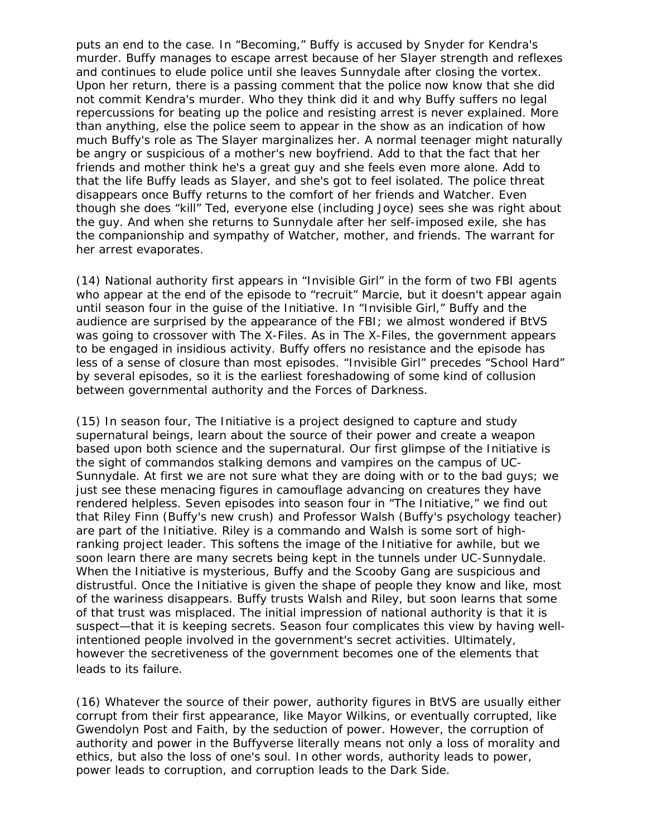puts an end to the case. In "Becoming," Buffy is accused by Snyder for Kendra's murder. Buffy manages to escape arrest because of her Slayer strength and reflexes and continues to elude police until she leaves Sunnydale after closing the vortex. Upon her return, there is a passing comment that the police now know that she did not commit Kendra's murder. Who they think did it and why Buffy suffers no legal repercussions for beating up the police and resisting arrest is never explained. More than anything, else the police seem to appear in the show as an indication of how much Buffy's role as The Slayer marginalizes her. A normal teenager might naturally be angry or suspicious of a mother's new boyfriend. Add to that the fact that her friends and mother think he's a great guy and she feels even more alone. Add to *that* the life Buffy leads as Slayer, and she's *got* to feel isolated. The police threat disappears once Buffy returns to the comfort of her friends and Watcher. Even though she does "kill" Ted, everyone else (including Joyce) sees she was right about the guy. And when she returns to Sunnydale after her self-imposed exile, she has the companionship and sympathy of Watcher, mother, and friends. The warrant for her arrest evaporates.

(14) National authority first appears in "Invisible Girl" in the form of two FBI agents who appear at the end of the episode to "recruit" Marcie, but it doesn't appear again until season four in the guise of the Initiative. In "Invisible Girl," Buffy and the audience are surprised by the appearance of the FBI; we almost wondered if *BtVS* was going to crossover with *The X-Files*. As in *The X-Files*, the government appears to be engaged in insidious activity. Buffy offers no resistance and the episode has less of a sense of closure than most episodes. "Invisible Girl" precedes "School Hard" by several episodes, so it is the earliest foreshadowing of some kind of collusion between governmental authority and the Forces of Darkness.

(15) In season four, The Initiative is a project designed to capture and study supernatural beings, learn about the source of their power and create a weapon based upon both science and the supernatural. Our first glimpse of the Initiative is the sight of commandos stalking demons and vampires on the campus of UC-Sunnydale. At first we are not sure what they are doing with or to the bad guys; we just see these menacing figures in camouflage advancing on creatures they have rendered helpless. Seven episodes into season four in "The Initiative," we find out that Riley Finn (Buffy's new crush) and Professor Walsh (Buffy's psychology teacher) are part of the Initiative. Riley is a commando and Walsh is some sort of highranking project leader. This softens the image of the Initiative for awhile, but we soon learn there are many secrets being kept in the tunnels under UC-Sunnydale. When the Initiative is mysterious, Buffy and the Scooby Gang are suspicious and distrustful. Once the Initiative is given the shape of people they know and like, most of the wariness disappears. Buffy trusts Walsh and Riley, but soon learns that some of that trust was misplaced. The initial impression of national authority is that it is suspect—that it is keeping secrets. Season four complicates this view by having wellintentioned people involved in the government's secret activities. Ultimately, however the secretiveness of the government becomes one of the elements that leads to its failure.

(16) Whatever the source of their power, authority figures in *BtVS* are usually either corrupt from their first appearance, like Mayor Wilkins, or eventually corrupted, like Gwendolyn Post and Faith, by the seduction of power. However, the corruption of authority and power in the Buffyverse literally means not only a loss of morality and ethics, but also the loss of one's soul. In other words, authority leads to power, power leads to corruption, and corruption leads to the Dark Side.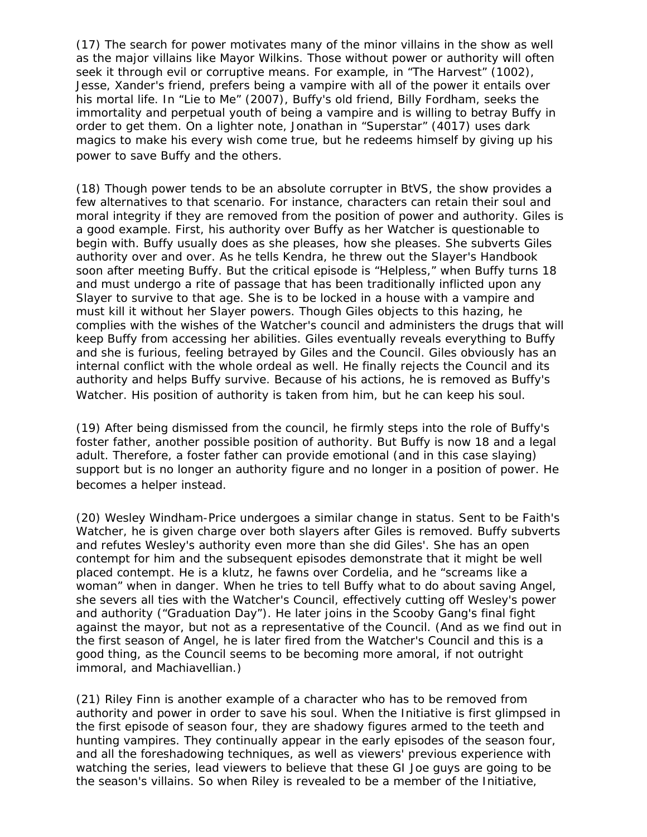(17) The search for power motivates many of the minor villains in the show as well as the major villains like Mayor Wilkins. Those without power or authority will often seek it through evil or corruptive means. For example, in "The Harvest" (1002), Jesse, Xander's friend, prefers being a vampire with all of the power it entails over his mortal life. In "Lie to Me" (2007), Buffy's old friend, Billy Fordham, seeks the immortality and perpetual youth of being a vampire and is willing to betray Buffy in order to get them. On a lighter note, Jonathan in "Superstar" (4017) uses dark magics to make his every wish come true, but he redeems himself by giving up his power to save Buffy and the others.

(18) Though power tends to be an absolute corrupter in BtVS, the show provides a few alternatives to that scenario. For instance, characters can retain their soul and moral integrity if they are removed from the position of power and authority. Giles is a good example. First, his authority over Buffy as her Watcher is questionable to begin with. Buffy usually does as she pleases, how she pleases. She subverts Giles authority over and over. As he tells Kendra, he threw out the Slayer's Handbook soon after meeting Buffy. But the critical episode is "Helpless," when Buffy turns 18 and must undergo a rite of passage that has been traditionally inflicted upon any Slayer to survive to that age. She is to be locked in a house with a vampire and must kill it without her Slayer powers. Though Giles objects to this hazing, he complies with the wishes of the Watcher's council and administers the drugs that will keep Buffy from accessing her abilities. Giles eventually reveals everything to Buffy and she is furious, feeling betrayed by Giles and the Council. Giles obviously has an internal conflict with the whole ordeal as well. He finally rejects the Council and its authority and helps Buffy survive. Because of his actions, he is removed as Buffy's Watcher. His position of authority is taken from him, but he can keep his soul.

(19) After being dismissed from the council, he firmly steps into the role of Buffy's foster father, another possible position of authority. But Buffy is now 18 and a legal adult. Therefore, a foster father can provide emotional (and in this case slaying) support but is no longer an authority figure and no longer in a position of power. He becomes a helper instead.

(20) Wesley Windham-Price undergoes a similar change in status. Sent to be Faith's Watcher, he is given charge over both slayers after Giles is removed. Buffy subverts and refutes Wesley's authority even more than she did Giles'. She has an open contempt for him and the subsequent episodes demonstrate that it might be well placed contempt. He is a klutz, he fawns over Cordelia, and he "screams like a woman" when in danger. When he tries to tell Buffy what to do about saving Angel, she severs all ties with the Watcher's Council, effectively cutting off Wesley's power and authority ("Graduation Day"). He later joins in the Scooby Gang's final fight against the mayor, but not as a representative of the Council. (And as we find out in the first season of *Angel*, he is later fired from the Watcher's Council and this is a good thing, as the Council seems to be becoming more amoral, if not outright immoral, and Machiavellian.)

(21) Riley Finn is another example of a character who has to be removed from authority and power in order to save his soul. When the Initiative is first glimpsed in the first episode of season four, they are shadowy figures armed to the teeth and hunting vampires. They continually appear in the early episodes of the season four, and all the foreshadowing techniques, as well as viewers' previous experience with watching the series, lead viewers to believe that these GI Joe guys are going to be the season's villains. So when Riley is revealed to be a member of the Initiative,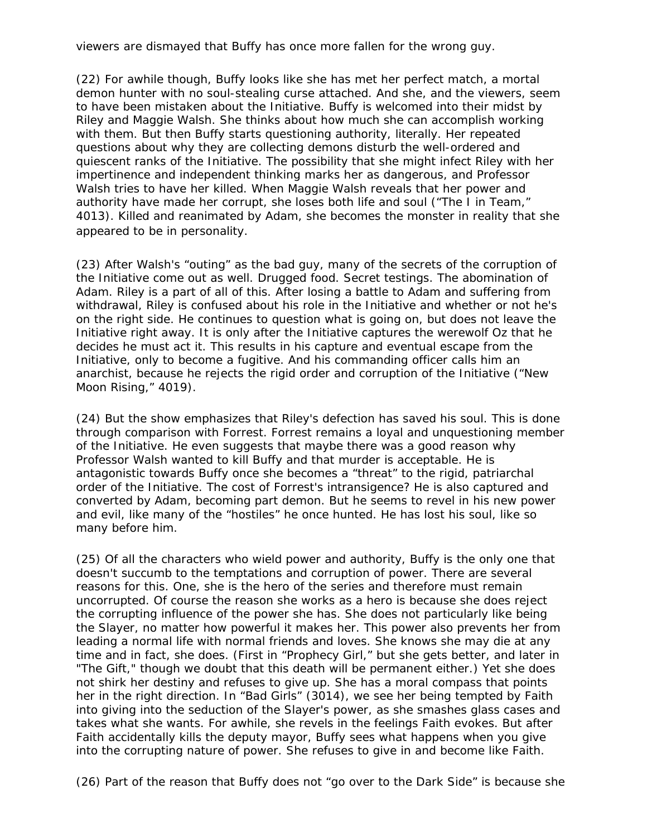viewers are dismayed that Buffy has once more fallen for the wrong guy.

(22) For awhile though, Buffy looks like she has met her perfect match, a mortal demon hunter with no soul-stealing curse attached. And she, and the viewers, seem to have been mistaken about the Initiative. Buffy is welcomed into their midst by Riley and Maggie Walsh. She thinks about how much she can accomplish working with them. But then Buffy starts questioning authority, literally. Her repeated questions about why they are collecting demons disturb the well-ordered and quiescent ranks of the Initiative. The possibility that she might infect Riley with her impertinence and independent thinking marks her as dangerous, and Professor Walsh tries to have her killed. When Maggie Walsh reveals that her power and authority have made her corrupt, she loses both life and soul ("The I in Team," 4013). Killed and reanimated by Adam, she becomes the monster in reality that she appeared to be in personality.

(23) After Walsh's "outing" as the bad guy, many of the secrets of the corruption of the Initiative come out as well. Drugged food. Secret testings. The abomination of Adam. Riley is a part of all of this. After losing a battle to Adam and suffering from withdrawal, Riley is confused about his role in the Initiative and whether or not he's on the right side. He continues to question what is going on, but does not leave the Initiative right away. It is only after the Initiative captures the werewolf Oz that he decides he must act it. This results in his capture and eventual escape from the Initiative, only to become a fugitive. And his commanding officer calls him an anarchist, because he rejects the rigid order and corruption of the Initiative ("New Moon Rising," 4019).

(24) But the show emphasizes that Riley's defection has saved his soul. This is done through comparison with Forrest. Forrest remains a loyal and unquestioning member of the Initiative. He even suggests that maybe there was a good reason why Professor Walsh wanted to kill Buffy and that murder is acceptable. He is antagonistic towards Buffy once she becomes a "threat" to the rigid, patriarchal order of the Initiative. The cost of Forrest's intransigence? He is also captured and converted by Adam, becoming part demon. But he seems to revel in his new power and evil, like many of the "hostiles" he once hunted. He has lost his soul, like so many before him.

(25) Of all the characters who wield power and authority, Buffy is the only one that doesn't succumb to the temptations and corruption of power. There are several reasons for this. One, she is the hero of the series and therefore must remain uncorrupted. Of course the reason she works as a hero is because she does reject the corrupting influence of the power she has. She does not particularly like being the Slayer, no matter how powerful it makes her. This power also prevents her from leading a normal life with normal friends and loves. She knows she may die at any time and in fact, she does. (First in "Prophecy Girl," but she gets better, and later in "The Gift," though we doubt that this death will be permanent either.) Yet she does not shirk her destiny and refuses to give up. She has a moral compass that points her in the right direction. In "Bad Girls" (3014), we see her being tempted by Faith into giving into the seduction of the Slayer's power, as she smashes glass cases and takes what she wants. For awhile, she revels in the feelings Faith evokes. But after Faith accidentally kills the deputy mayor, Buffy sees what happens when you give into the corrupting nature of power. She refuses to give in and become like Faith.

(26) Part of the reason that Buffy does not "go over to the Dark Side" is because she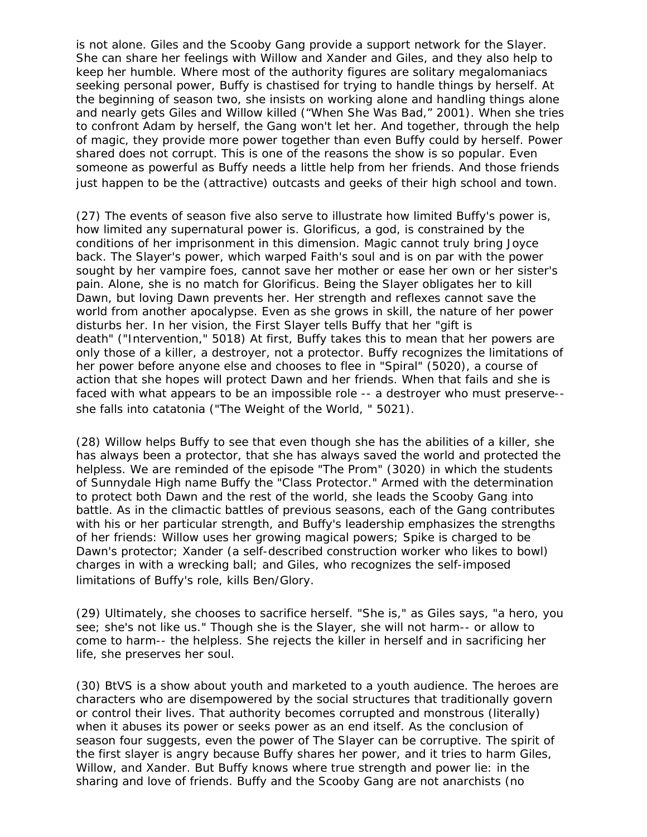is not alone. Giles and the Scooby Gang provide a support network for the Slayer. She can share her feelings with Willow and Xander and Giles, and they also help to keep her humble. Where most of the authority figures are solitary megalomaniacs seeking personal power, Buffy is chastised for trying to handle things by herself. At the beginning of season two, she insists on working alone and handling things alone and nearly gets Giles and Willow killed ("When She Was Bad," 2001). When she tries to confront Adam by herself, the Gang won't let her. And together, through the help of magic, they provide more power together than even Buffy could by herself. Power shared does not corrupt. This is one of the reasons the show is so popular. Even someone as powerful as Buffy needs a little help from her friends. And those friends just happen to be the (attractive) outcasts and geeks of their high school and town.

(27) The events of season five also serve to illustrate how limited Buffy's power is, how limited any supernatural power is. Glorificus, a god, is constrained by the conditions of her imprisonment in this dimension. Magic cannot truly bring Joyce back. The Slayer's power, which warped Faith's soul and is on par with the power sought by her vampire foes, cannot save her mother or ease her own or her sister's pain. Alone, she is no match for Glorificus. Being the Slayer obligates her to kill Dawn, but loving Dawn prevents her. Her strength and reflexes cannot save the world from another apocalypse. Even as she grows in skill, the nature of her power disturbs her. In her vision, the First Slayer tells Buffy that her "gift is death" ("Intervention," 5018) At first, Buffy takes this to mean that her powers are only those of a killer, a destroyer, not a protector. Buffy recognizes the limitations of her power before anyone else and chooses to flee in "Spiral" (5020), a course of action that she hopes will protect Dawn and her friends. When that fails and she is faced with what appears to be an impossible role -- a destroyer who must preserve- she falls into catatonia ("The Weight of the World, " 5021).

(28) Willow helps Buffy to see that even though she has the abilities of a killer, she has always been a protector, that she has always saved the world and protected the helpless. We are reminded of the episode "The Prom" (3020) in which the students of Sunnydale High name Buffy the "Class Protector." Armed with the determination to protect both Dawn and the rest of the world, she leads the Scooby Gang into battle. As in the climactic battles of previous seasons, each of the Gang contributes with his or her particular strength, and Buffy's leadership emphasizes the strengths of her friends: Willow uses her growing magical powers; Spike is charged to be Dawn's protector; Xander (a self-described construction worker who likes to bowl) charges in with a wrecking ball; and Giles, who recognizes the self-imposed limitations of Buffy's role, kills Ben/Glory.

(29) Ultimately, she chooses to sacrifice herself. "She is," as Giles says, "a hero, you see; she's not like us." Though she is the Slayer, she will not harm-- or allow to come to harm-- the helpless. She rejects the killer in herself and in sacrificing her life, she preserves her soul.

(30) *BtVS* is a show about youth and marketed to a youth audience. The heroes are characters who are disempowered by the social structures that traditionally govern or control their lives. That authority becomes corrupted and monstrous (literally) when it abuses its power or seeks power as an end itself. As the conclusion of season four suggests, even the power of The Slayer can be corruptive. The spirit of the first slayer is angry because Buffy shares her power, and it tries to harm Giles, Willow, and Xander. But Buffy knows where true strength and power lie: in the sharing and love of friends. Buffy and the Scooby Gang are not anarchists (no